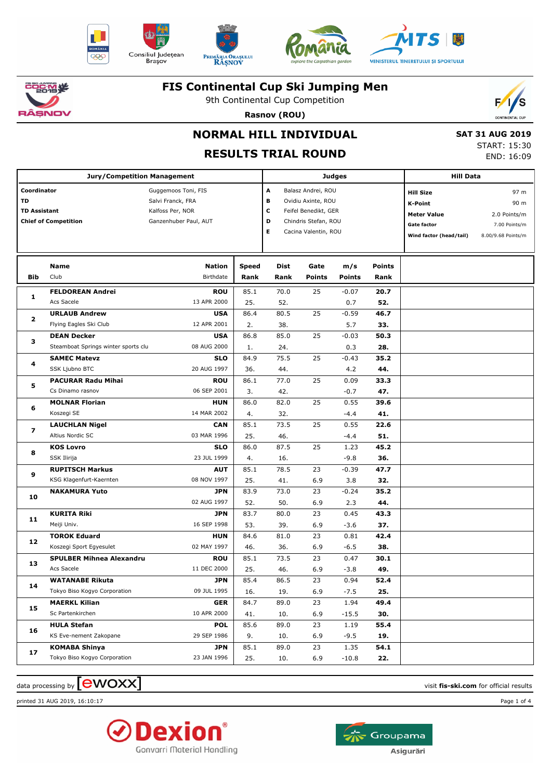











9th Continental Cup Competition



**Rasnov (ROU)**

# **NORMAL HILL INDIVIDUAL**

## **RESULTS TRIAL ROUND**

 **SAT 31 AUG 2019** START: 15:30 END: 16:09

|                                                                         | <b>Jury/Competition Management</b>  |                                                                                       |              |                                                                                                                                            |               | <b>Judges</b> |                                                                                                    | <b>Hill Data</b>                                                    |  |
|-------------------------------------------------------------------------|-------------------------------------|---------------------------------------------------------------------------------------|--------------|--------------------------------------------------------------------------------------------------------------------------------------------|---------------|---------------|----------------------------------------------------------------------------------------------------|---------------------------------------------------------------------|--|
| Coordinator<br>TD<br><b>TD Assistant</b><br><b>Chief of Competition</b> |                                     | Guggemoos Toni, FIS<br>Salvi Franck, FRA<br>Kalfoss Per, NOR<br>Ganzenhuber Paul, AUT |              | Balasz Andrei, ROU<br>А<br>в<br>Ovidiu Axinte, ROU<br>с<br>Feifel Benedikt, GER<br>D<br>Chindris Stefan, ROU<br>E.<br>Cacina Valentin, ROU |               |               | <b>Hill Size</b><br><b>K-Point</b><br><b>Meter Value</b><br>Gate factor<br>Wind factor (head/tail) | 97 m<br>90 m<br>2.0 Points/m<br>7.00 Points/m<br>8.00/9.68 Points/m |  |
|                                                                         | Name                                | Nation                                                                                | <b>Speed</b> | Dist                                                                                                                                       | Gate          | m/s           | <b>Points</b>                                                                                      |                                                                     |  |
| <b>Bib</b>                                                              | Club                                | Birthdate                                                                             | Rank         | Rank                                                                                                                                       | <b>Points</b> | <b>Points</b> | Rank                                                                                               |                                                                     |  |
|                                                                         | <b>FELDOREAN Andrei</b>             | <b>ROU</b>                                                                            | 85.1         | 70.0                                                                                                                                       | 25            | $-0.07$       | 20.7                                                                                               |                                                                     |  |
| 1                                                                       | Acs Sacele                          | 13 APR 2000                                                                           | 25.          | 52.                                                                                                                                        |               | 0.7           | 52.                                                                                                |                                                                     |  |
|                                                                         | <b>URLAUB Andrew</b>                | <b>USA</b>                                                                            | 86.4         | 80.5                                                                                                                                       | 25            | $-0.59$       | 46.7                                                                                               |                                                                     |  |
| 2                                                                       | Flying Eagles Ski Club              | 12 APR 2001                                                                           | 2.           | 38.                                                                                                                                        |               | 5.7           | 33.                                                                                                |                                                                     |  |
| з                                                                       | <b>DEAN Decker</b>                  | <b>USA</b>                                                                            | 86.8         | 85.0                                                                                                                                       | 25            | $-0.03$       | 50.3                                                                                               |                                                                     |  |
|                                                                         | Steamboat Springs winter sports clu | 08 AUG 2000                                                                           | 1.           | 24.                                                                                                                                        |               | 0.3           | 28.                                                                                                |                                                                     |  |
| 4                                                                       | <b>SAMEC Matevz</b>                 | <b>SLO</b>                                                                            | 84.9         | 75.5                                                                                                                                       | 25            | $-0.43$       | 35.2                                                                                               |                                                                     |  |
|                                                                         | SSK Ljubno BTC                      | 20 AUG 1997                                                                           | 36.          | 44.                                                                                                                                        |               | 4.2           | 44.                                                                                                |                                                                     |  |
| 5                                                                       | <b>PACURAR Radu Mihai</b>           | <b>ROU</b>                                                                            | 86.1         | 77.0                                                                                                                                       | 25            | 0.09          | 33.3                                                                                               |                                                                     |  |
|                                                                         | Cs Dinamo rasnov                    | 06 SEP 2001                                                                           | 3.           | 42.                                                                                                                                        |               | $-0.7$        | 47.                                                                                                |                                                                     |  |
| 6                                                                       | <b>MOLNAR Florian</b>               | <b>HUN</b>                                                                            | 86.0         | 82.0                                                                                                                                       | 25            | 0.55          | 39.6                                                                                               |                                                                     |  |
|                                                                         | Koszegi SE                          | 14 MAR 2002                                                                           | 4.           | 32.                                                                                                                                        |               | $-4.4$        | 41.                                                                                                |                                                                     |  |
| 7                                                                       | <b>LAUCHLAN Nigel</b>               | <b>CAN</b>                                                                            | 85.1         | 73.5                                                                                                                                       | 25            | 0.55          | 22.6                                                                                               |                                                                     |  |
|                                                                         | Altius Nordic SC                    | 03 MAR 1996                                                                           | 25.          | 46.                                                                                                                                        |               | $-4.4$        | 51.                                                                                                |                                                                     |  |
| 8                                                                       | <b>KOS Lovro</b>                    | <b>SLO</b>                                                                            | 86.0         | 87.5                                                                                                                                       | 25            | 1.23          | 45.2                                                                                               |                                                                     |  |
|                                                                         | SSK Ilirija                         | 23 JUL 1999                                                                           | 4.           | 16.                                                                                                                                        |               | $-9.8$        | 36.                                                                                                |                                                                     |  |
| 9                                                                       | <b>RUPITSCH Markus</b>              | <b>AUT</b>                                                                            | 85.1         | 78.5                                                                                                                                       | 23            | $-0.39$       | 47.7                                                                                               |                                                                     |  |
|                                                                         | KSG Klagenfurt-Kaernten             | 08 NOV 1997                                                                           | 25.          | 41.                                                                                                                                        | 6.9           | 3.8           | 32.                                                                                                |                                                                     |  |
| 10                                                                      | <b>NAKAMURA Yuto</b>                | <b>JPN</b>                                                                            | 83.9         | 73.0                                                                                                                                       | 23            | $-0.24$       | 35.2                                                                                               |                                                                     |  |
|                                                                         |                                     | 02 AUG 1997                                                                           | 52.          | 50.                                                                                                                                        | 6.9           | 2.3           | 44.                                                                                                |                                                                     |  |
| 11                                                                      | <b>KURITA Riki</b>                  | <b>JPN</b>                                                                            | 83.7         | 80.0                                                                                                                                       | 23            | 0.45          | 43.3                                                                                               |                                                                     |  |
|                                                                         | Meiji Univ.                         | 16 SEP 1998                                                                           | 53.          | 39.                                                                                                                                        | 6.9           | $-3.6$        | 37.                                                                                                |                                                                     |  |
| 12                                                                      | <b>TOROK Eduard</b>                 | <b>HUN</b>                                                                            | 84.6         | 81.0                                                                                                                                       | 23            | 0.81          | 42.4                                                                                               |                                                                     |  |
|                                                                         | Koszegi Sport Egyesulet             | 02 MAY 1997                                                                           | 46.          | 36.                                                                                                                                        | 6.9           | $-6.5$        | 38.                                                                                                |                                                                     |  |
| 13                                                                      | <b>SPULBER Mihnea Alexandru</b>     | <b>ROU</b>                                                                            | 85.1         | 73.5                                                                                                                                       | 23            | 0.47          | 30.1                                                                                               |                                                                     |  |
|                                                                         | Acs Sacele                          | 11 DEC 2000                                                                           | 25.          | 46.                                                                                                                                        | 6.9           | $-3.8$        | 49.                                                                                                |                                                                     |  |
| 14                                                                      | <b>WATANABE Rikuta</b>              | <b>JPN</b>                                                                            | 85.4         | 86.5                                                                                                                                       | 23            | 0.94          | 52.4                                                                                               |                                                                     |  |
|                                                                         | Tokyo Biso Kogyo Corporation        | 09 JUL 1995                                                                           | 16.          | 19.                                                                                                                                        | 6.9           | $-7.5$        | 25.                                                                                                |                                                                     |  |
| 15                                                                      | <b>MAERKL Kilian</b>                | <b>GER</b>                                                                            | 84.7         | 89.0                                                                                                                                       | 23            | 1.94          | 49.4                                                                                               |                                                                     |  |
|                                                                         | Sc Partenkirchen                    | 10 APR 2000                                                                           | 41.          | 10.                                                                                                                                        | 6.9           | $-15.5$       | 30.                                                                                                |                                                                     |  |
| 16                                                                      | <b>HULA Stefan</b>                  | <b>POL</b>                                                                            | 85.6         | 89.0                                                                                                                                       | 23            | 1.19          | 55.4                                                                                               |                                                                     |  |
|                                                                         | KS Eve-nement Zakopane              | 29 SEP 1986                                                                           | 9.           | 10.                                                                                                                                        | 6.9           | $-9.5$        | 19.                                                                                                |                                                                     |  |
| 17                                                                      | <b>KOMABA Shinya</b>                | <b>JPN</b>                                                                            | 85.1         | 89.0                                                                                                                                       | 23            | 1.35          | 54.1                                                                                               |                                                                     |  |
|                                                                         | Tokyo Biso Kogyo Corporation        | 23 JAN 1996                                                                           | 25.          | 10.                                                                                                                                        | 6.9           | $-10.8$       | 22.                                                                                                |                                                                     |  |

 $\alpha$  data processing by  $\boxed{\text{ewOX}}$ 

printed 31 AUG 2019, 16:10:17 Page 1 of 4



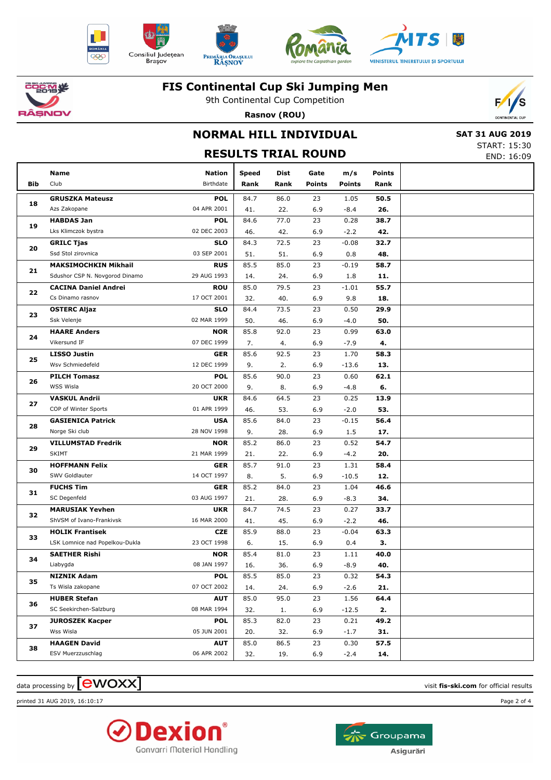











9th Continental Cup Competition



**Rasnov (ROU)**

## **NORMAL HILL INDIVIDUAL RESULTS TRIAL ROUND**

|  | <b>SAT 31 AUG 2019</b> |
|--|------------------------|
|  | START: 15:30           |
|  | END: 16:09             |

|     | Name                           | <b>Nation</b> | Speed | Dist | Gate          | m/s           | <b>Points</b> |  |
|-----|--------------------------------|---------------|-------|------|---------------|---------------|---------------|--|
| Bib | Club                           | Birthdate     | Rank  | Rank | <b>Points</b> | <b>Points</b> | Rank          |  |
|     | <b>GRUSZKA Mateusz</b>         | <b>POL</b>    | 84.7  | 86.0 | 23            | 1.05          | 50.5          |  |
| 18  | Azs Zakopane                   | 04 APR 2001   | 41.   | 22.  | 6.9           | $-8.4$        | 26.           |  |
|     | <b>HABDAS Jan</b>              | <b>POL</b>    | 84.6  | 77.0 | 23            | 0.28          | 38.7          |  |
| 19  | Lks Klimczok bystra            | 02 DEC 2003   | 46.   | 42.  | 6.9           | $-2.2$        | 42.           |  |
|     | <b>GRILC Tjas</b>              | <b>SLO</b>    | 84.3  | 72.5 | 23            | $-0.08$       | 32.7          |  |
| 20  | Ssd Stol zirovnica             | 03 SEP 2001   | 51.   | 51.  | 6.9           | 0.8           | 48.           |  |
|     | <b>MAKSIMOCHKIN Mikhail</b>    | <b>RUS</b>    | 85.5  | 85.0 | 23            | $-0.19$       | 58.7          |  |
| 21  | Sdushor CSP N. Novgorod Dinamo | 29 AUG 1993   | 14.   | 24.  | 6.9           | 1.8           | 11.           |  |
|     | <b>CACINA Daniel Andrei</b>    | <b>ROU</b>    | 85.0  | 79.5 | 23            | $-1.01$       | 55.7          |  |
| 22  | Cs Dinamo rasnov               | 17 OCT 2001   | 32.   | 40.  | 6.9           | 9.8           | 18.           |  |
|     | <b>OSTERC Aljaz</b>            | <b>SLO</b>    | 84.4  | 73.5 | 23            | 0.50          | 29.9          |  |
| 23  | Ssk Velenje                    | 02 MAR 1999   | 50.   | 46.  | 6.9           | $-4.0$        | 50.           |  |
|     | <b>HAARE Anders</b>            | <b>NOR</b>    | 85.8  | 92.0 | 23            | 0.99          | 63.0          |  |
| 24  | Vikersund IF                   | 07 DEC 1999   | 7.    | 4.   | 6.9           | $-7.9$        | 4.            |  |
|     | <b>LISSO Justin</b>            | <b>GER</b>    | 85.6  | 92.5 | 23            | 1.70          | 58.3          |  |
| 25  | Wsv Schmiedefeld               | 12 DEC 1999   | 9.    | 2.   | 6.9           | $-13.6$       | 13.           |  |
|     | <b>PILCH Tomasz</b>            | <b>POL</b>    | 85.6  | 90.0 | 23            | 0.60          | 62.1          |  |
| 26  | <b>WSS Wisla</b>               | 20 OCT 2000   | 9.    | 8.   | 6.9           | $-4.8$        | 6.            |  |
|     | <b>VASKUL Andrii</b>           | <b>UKR</b>    | 84.6  | 64.5 | 23            | 0.25          | 13.9          |  |
| 27  | COP of Winter Sports           | 01 APR 1999   | 46.   | 53.  | 6.9           | $-2.0$        | 53.           |  |
| 28  | <b>GASIENICA Patrick</b>       | <b>USA</b>    | 85.6  | 84.0 | 23            | $-0.15$       | 56.4          |  |
|     | Norge Ski club                 | 28 NOV 1998   | 9.    | 28.  | 6.9           | 1.5           | 17.           |  |
|     | <b>VILLUMSTAD Fredrik</b>      | <b>NOR</b>    | 85.2  | 86.0 | 23            | 0.52          | 54.7          |  |
| 29  | <b>SKIMT</b>                   | 21 MAR 1999   | 21.   | 22.  | 6.9           | $-4.2$        | 20.           |  |
|     | <b>HOFFMANN Felix</b>          | <b>GER</b>    | 85.7  | 91.0 | 23            | 1.31          | 58.4          |  |
| 30  | SWV Goldlauter                 | 14 OCT 1997   | 8.    | 5.   | 6.9           | $-10.5$       | 12.           |  |
|     | <b>FUCHS Tim</b>               | <b>GER</b>    | 85.2  | 84.0 | 23            | 1.04          | 46.6          |  |
| 31  | SC Degenfeld                   | 03 AUG 1997   | 21.   | 28.  | 6.9           | $-8.3$        | 34.           |  |
|     | <b>MARUSIAK Yevhen</b>         | <b>UKR</b>    | 84.7  | 74.5 | 23            | 0.27          | 33.7          |  |
| 32  | ShVSM of Ivano-Frankivsk       | 16 MAR 2000   | 41.   | 45.  | 6.9           | $-2.2$        | 46.           |  |
|     | <b>HOLIK Frantisek</b>         | <b>CZE</b>    | 85.9  | 88.0 | 23            | $-0.04$       | 63.3          |  |
| 33  | LSK Lomnice nad Popelkou-Dukla | 23 OCT 1998   | 6.    | 15.  | 6.9           | 0.4           | З.            |  |
| 34  | <b>SAETHER Rishi</b>           | <b>NOR</b>    | 85.4  | 81.0 | 23            | 1.11          | 40.0          |  |
|     | Liabygda                       | 08 JAN 1997   | 16.   | 36.  | 6.9           | $-8.9$        | 40.           |  |
| 35  | <b>NIZNIK Adam</b>             | <b>POL</b>    | 85.5  | 85.0 | 23            | 0.32          | 54.3          |  |
|     | Ts Wisla zakopane              | 07 OCT 2002   | 14.   | 24.  | 6.9           | $-2.6$        | 21.           |  |
| 36  | <b>HUBER Stefan</b>            | <b>AUT</b>    | 85.0  | 95.0 | 23            | 1.56          | 64.4          |  |
|     | SC Seekirchen-Salzburg         | 08 MAR 1994   | 32.   | 1.   | 6.9           | $-12.5$       | 2.            |  |
| 37  | <b>JUROSZEK Kacper</b>         | <b>POL</b>    | 85.3  | 82.0 | 23            | 0.21          | 49.2          |  |
|     | Wss Wisla                      | 05 JUN 2001   | 20.   | 32.  | 6.9           | $-1.7$        | 31.           |  |
| 38  | <b>HAAGEN David</b>            | <b>AUT</b>    | 85.0  | 86.5 | 23            | 0.30          | 57.5          |  |
|     | ESV Muerzzuschlag              | 06 APR 2002   | 32.   | 19.  | 6.9           | $-2.4$        | 14.           |  |

 $\alpha$  data processing by  $\boxed{\text{ewOX}}$ 

printed 31 AUG 2019, 16:10:17 Page 2 of 4



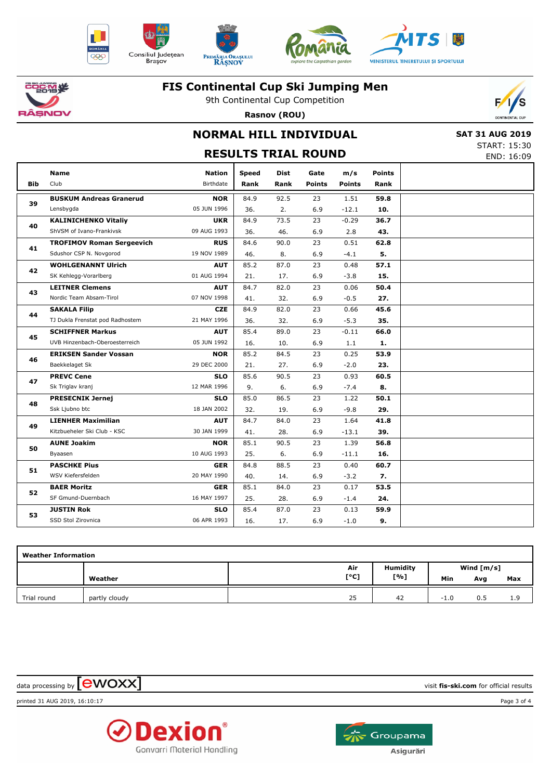











9th Continental Cup Competition



**Rasnov (ROU)**

## **NORMAL HILL INDIVIDUAL**

 **SAT 31 AUG 2019** START: 15:30 END: 16:09

|            | <b>RESULTS TRIAL ROUND</b><br>END: 16:09 |                            |                      |                     |                       |                      |                       |  |  |  |  |  |
|------------|------------------------------------------|----------------------------|----------------------|---------------------|-----------------------|----------------------|-----------------------|--|--|--|--|--|
| <b>Bib</b> | <b>Name</b><br>Club                      | <b>Nation</b><br>Birthdate | <b>Speed</b><br>Rank | <b>Dist</b><br>Rank | Gate<br><b>Points</b> | m/s<br><b>Points</b> | <b>Points</b><br>Rank |  |  |  |  |  |
|            |                                          |                            |                      |                     |                       |                      |                       |  |  |  |  |  |
| 39         | <b>BUSKUM Andreas Granerud</b>           | <b>NOR</b>                 | 84.9                 | 92.5                | 23                    | 1.51                 | 59.8                  |  |  |  |  |  |
|            | Lensbygda                                | 05 JUN 1996                | 36.                  | 2.                  | 6.9                   | $-12.1$              | 10.                   |  |  |  |  |  |
| 40         | <b>KALINICHENKO Vitaliy</b>              | <b>UKR</b>                 | 84.9                 | 73.5                | 23                    | $-0.29$              | 36.7                  |  |  |  |  |  |
|            | ShVSM of Ivano-Frankivsk                 | 09 AUG 1993                | 36.                  | 46.                 | 6.9                   | 2.8                  | 43.                   |  |  |  |  |  |
| 41         | <b>TROFIMOV Roman Sergeevich</b>         | <b>RUS</b>                 | 84.6                 | 90.0                | 23                    | 0.51                 | 62.8                  |  |  |  |  |  |
|            | Sdushor CSP N. Novgorod                  | 19 NOV 1989                | 46.                  | 8.                  | 6.9                   | $-4.1$               | 5.                    |  |  |  |  |  |
| 42         | <b>WOHLGENANNT Ulrich</b>                | <b>AUT</b>                 | 85.2                 | 87.0                | 23                    | 0.48                 | 57.1                  |  |  |  |  |  |
|            | SK Kehlegg-Vorarlberg                    | 01 AUG 1994                | 21.                  | 17.                 | 6.9                   | $-3.8$               | 15.                   |  |  |  |  |  |
| 43         | <b>LEITNER Clemens</b>                   | <b>AUT</b>                 | 84.7                 | 82.0                | 23                    | 0.06                 | 50.4                  |  |  |  |  |  |
|            | Nordic Team Absam-Tirol                  | 07 NOV 1998                | 41.                  | 32.                 | 6.9                   | $-0.5$               | 27.                   |  |  |  |  |  |
| 44         | <b>SAKALA Filip</b>                      | <b>CZE</b>                 | 84.9                 | 82.0                | 23                    | 0.66                 | 45.6                  |  |  |  |  |  |
|            | TJ Dukla Frenstat pod Radhostem          | 21 MAY 1996                | 36.                  | 32.                 | 6.9                   | $-5.3$               | 35.                   |  |  |  |  |  |
| 45         | <b>SCHIFFNER Markus</b>                  | <b>AUT</b>                 | 85.4                 | 89.0                | 23                    | $-0.11$              | 66.0                  |  |  |  |  |  |
|            | UVB Hinzenbach-Oberoesterreich           | 05 JUN 1992                | 16.                  | 10.                 | 6.9                   | 1.1                  | 1.                    |  |  |  |  |  |
| 46         | <b>ERIKSEN Sander Vossan</b>             | <b>NOR</b>                 | 85.2                 | 84.5                | 23                    | 0.25                 | 53.9                  |  |  |  |  |  |
|            | Baekkelaget Sk                           | 29 DEC 2000                | 21.                  | 27.                 | 6.9                   | $-2.0$               | 23.                   |  |  |  |  |  |
|            | <b>PREVC Cene</b>                        | <b>SLO</b>                 | 85.6                 | 90.5                | 23                    | 0.93                 | 60.5                  |  |  |  |  |  |
| 47         | Sk Triglav kranj                         | 12 MAR 1996                | 9.                   | 6.                  | 6.9                   | $-7.4$               | 8.                    |  |  |  |  |  |
|            | <b>PRESECNIK Jernej</b>                  | <b>SLO</b>                 | 85.0                 | 86.5                | 23                    | 1.22                 | 50.1                  |  |  |  |  |  |
| 48         | Ssk Ljubno btc                           | 18 JAN 2002                | 32.                  | 19.                 | 6.9                   | $-9.8$               | 29.                   |  |  |  |  |  |
|            | <b>LIENHER Maximilian</b>                | <b>AUT</b>                 | 84.7                 | 84.0                | 23                    | 1.64                 | 41.8                  |  |  |  |  |  |
| 49         | Kitzbueheler Ski Club - KSC              | 30 JAN 1999                | 41.                  | 28.                 | 6.9                   | $-13.1$              | 39.                   |  |  |  |  |  |
|            | <b>AUNE Joakim</b>                       | <b>NOR</b>                 | 85.1                 | 90.5                | 23                    | 1.39                 | 56.8                  |  |  |  |  |  |
| 50         | Byaasen                                  | 10 AUG 1993                | 25.                  | 6.                  | 6.9                   | $-11.1$              | 16.                   |  |  |  |  |  |
|            | <b>PASCHKE Pius</b>                      | <b>GER</b>                 | 84.8                 | 88.5                | 23                    | 0.40                 | 60.7                  |  |  |  |  |  |
| 51         | WSV Kiefersfelden                        | 20 MAY 1990                | 40.                  | 14.                 | 6.9                   | $-3.2$               | 7.                    |  |  |  |  |  |
|            | <b>BAER Moritz</b>                       | <b>GER</b>                 | 85.1                 | 84.0                | 23                    | 0.17                 | 53.5                  |  |  |  |  |  |
| 52         | SF Gmund-Duernbach                       | 16 MAY 1997                | 25.                  | 28.                 | 6.9                   | $-1.4$               | 24.                   |  |  |  |  |  |
|            | <b>JUSTIN Rok</b>                        | <b>SLO</b>                 | 85.4                 | 87.0                | 23                    | 0.13                 | 59.9                  |  |  |  |  |  |
| 53         | SSD Stol Zirovnica                       | 06 APR 1993                | 16.                  | 17.                 | 6.9                   | $-1.0$               | 9.                    |  |  |  |  |  |

| <b>Weather Information</b> |               |      |                 |              |     |     |  |  |  |  |  |
|----------------------------|---------------|------|-----------------|--------------|-----|-----|--|--|--|--|--|
|                            |               | Air  | <b>Humidity</b> | Wind $[m/s]$ |     |     |  |  |  |  |  |
|                            | Weather       | [°C] | [%]             | Min          | Avg | Max |  |  |  |  |  |
| Trial round                | partly cloudy | 25   | 42              | $-1.0$       | 0.5 | 1.9 |  |  |  |  |  |

 $\alpha$  data processing by  $\boxed{\text{ewOX}}$ 

printed 31 AUG 2019, 16:10:17 Page 3 of 4